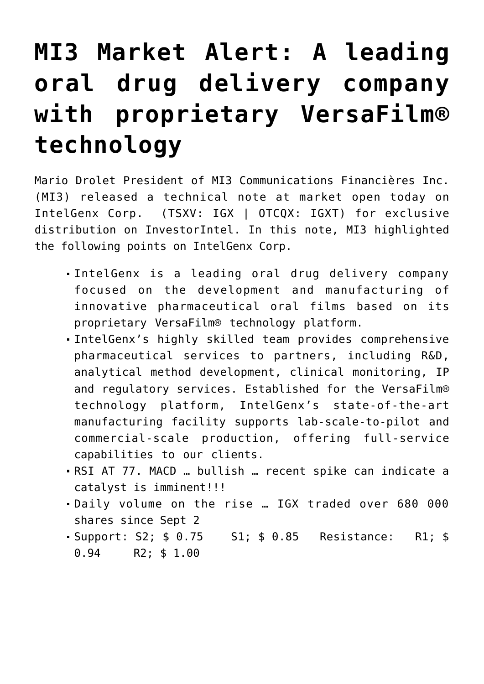## **[MI3 Market Alert: A leading](https://investorintel.com/markets/biotech-healthcare/biotech-intel/mi3-market-alert-a-leading-oral-drug-delivery-company-with-proprietary-versafilm-technology/) [oral drug delivery company](https://investorintel.com/markets/biotech-healthcare/biotech-intel/mi3-market-alert-a-leading-oral-drug-delivery-company-with-proprietary-versafilm-technology/) [with proprietary VersaFilm®](https://investorintel.com/markets/biotech-healthcare/biotech-intel/mi3-market-alert-a-leading-oral-drug-delivery-company-with-proprietary-versafilm-technology/) [technology](https://investorintel.com/markets/biotech-healthcare/biotech-intel/mi3-market-alert-a-leading-oral-drug-delivery-company-with-proprietary-versafilm-technology/)**

Mario Drolet President of MI3 Communications Financières Inc. (MI3) released a technical note at market open today on [IntelGenx Corp.](http://www.intelgenx.com/Home/default.aspx) (TSXV: IGX | OTCQX: IGXT) for exclusive distribution on InvestorIntel. In this note, MI3 highlighted the following points on IntelGenx Corp.

- IntelGenx is a leading oral drug delivery company focused on the development and manufacturing of innovative pharmaceutical oral films based on its proprietary VersaFilm® technology platform.
- IntelGenx's highly skilled team provides comprehensive pharmaceutical services to partners, including R&D, analytical method development, clinical monitoring, IP and regulatory services. Established for the VersaFilm® technology platform, IntelGenx's state-of-the-art manufacturing facility supports lab-scale-to-pilot and commercial-scale production, offering full-service capabilities to our clients.
- RSI AT 77. MACD … bullish … recent spike can indicate a catalyst is imminent!!!
- Daily volume on the rise … IGX traded over 680 000 shares since Sept 2
- Support: S2; \$ 0.75 S1; \$ 0.85 Resistance: R1; \$ 0.94 R2; \$ 1.00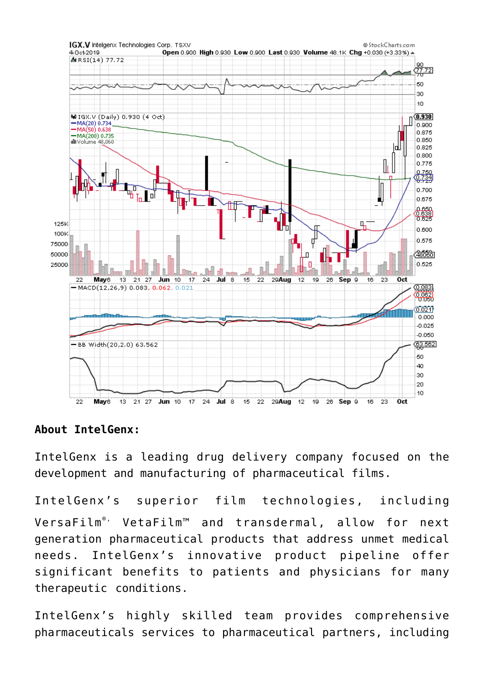

## **About IntelGenx:**

IntelGenx is a leading drug delivery company focused on the development and manufacturing of pharmaceutical films.

IntelGenx's superior film technologies, including VersaFilm<sup>®</sup>' VetaFilm™ and transdermal, allow for next generation pharmaceutical products that address unmet medical needs. IntelGenx's innovative product pipeline offer significant benefits to patients and physicians for many therapeutic conditions.

IntelGenx's highly skilled team provides comprehensive pharmaceuticals services to pharmaceutical partners, including